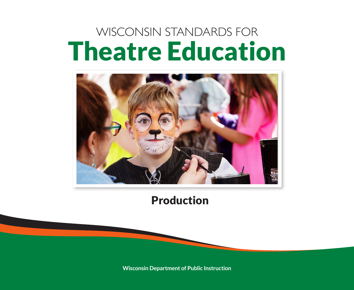# WISCONSIN STANDARDS FOR Theatre Education



Production

**Wisconsin Department of Public Instruction**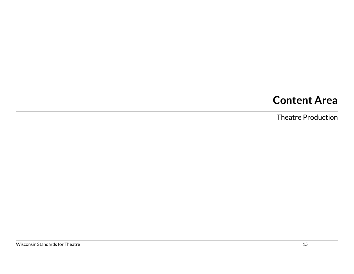# **Content Area**

Theatre Production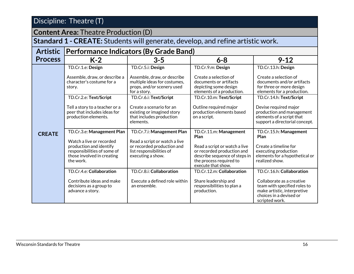**Content Area:** Theatre Production (D)

**Standard 1 - CREATE:** Students will generate, develop, and refine artistic work.

| <b>Artistic</b> | <b>Performance Indicators (By Grade Band)</b>                                                                                                               |                                                                                                                                            |                                                                                                                                                                                 |                                                                                                                                                                    |
|-----------------|-------------------------------------------------------------------------------------------------------------------------------------------------------------|--------------------------------------------------------------------------------------------------------------------------------------------|---------------------------------------------------------------------------------------------------------------------------------------------------------------------------------|--------------------------------------------------------------------------------------------------------------------------------------------------------------------|
| <b>Process</b>  | $K-2$                                                                                                                                                       | $3 - 5$                                                                                                                                    | $6 - 8$                                                                                                                                                                         | $9 - 12$                                                                                                                                                           |
| <b>CREATE</b>   | TD.Cr.1.e: Design<br>Assemble, draw, or describe a<br>character's costume for a<br>story.                                                                   | TD.Cr.5.i: Design<br>Assemble, draw, or describe<br>multiple ideas for costumes,<br>props, and/or scenery used<br>for a story.             | TD.Cr.9.m: Design<br>Create a selection of<br>documents or artifacts<br>depicting some design<br>elements of a production.                                                      | TD.Cr.13.h: Design<br>Create a selection of<br>documents and/or artifacts<br>for three or more design<br>elements for a production.                                |
|                 | TD.Cr.2.e: Text/Script<br>Tell a story to a teacher or a<br>peer that includes ideas for<br>production elements.                                            | TD.Cr.6.i: Text/Script<br>Create a scenario for an<br>existing or imagined story<br>that includes production<br>elements.                  | TD.Cr.10.m: Text/Script<br>Outline required major<br>production elements based<br>on a script.                                                                                  | TD.Cr.14.h: Text/Script<br>Devise required major<br>production and management<br>elements of a script that<br>support a directorial concept.                       |
|                 | TD.Cr.3.e: Management Plan<br>Watch a live or recorded<br>production and identify<br>responsibilities of some of<br>those involved in creating<br>the work. | TD.Cr.7.i: Management Plan<br>Read a script or watch a live<br>or recorded production and<br>list responsibilities of<br>executing a show. | TD.Cr.11.m: Management<br>Plan<br>Read a script or watch a live<br>or recorded production and<br>describe sequence of steps in<br>the process required to<br>execute that show. | TD.Cr.15.h: Management<br>Plan<br>Create a timeline for<br>executing production<br>elements for a hypothetical or<br>realized show.                                |
|                 | TD.Cr.4.e: Collaboration<br>Contribute ideas and make<br>decisions as a group to<br>advance a story.                                                        | TD.Cr.8.i: Collaboration<br>Execute a defined role within<br>an ensemble.                                                                  | TD.Cr.12.m: Collaboration<br>Share leadership and<br>responsibilities to plan a<br>production.                                                                                  | TD.Cr.16.h: Collaboration<br>Collaborate as a creative<br>team with specified roles to<br>make artistic, interpretive<br>choices in a devised or<br>scripted work. |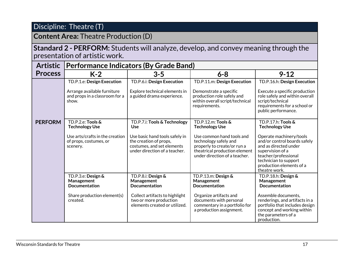# **Content Area:** Theatre Production (D)

#### **Standard 2 - PERFORM:** Students will analyze, develop, and convey meaning through the presentation of artistic work.

| <b>Artistic</b> | Performance Indicators (By Grade Band)                                 |                                                                                                                         |                                                                                                                                                     |                                                                                                                                                                                                    |
|-----------------|------------------------------------------------------------------------|-------------------------------------------------------------------------------------------------------------------------|-----------------------------------------------------------------------------------------------------------------------------------------------------|----------------------------------------------------------------------------------------------------------------------------------------------------------------------------------------------------|
| <b>Process</b>  | $K-2$                                                                  | $3 - 5$                                                                                                                 | $6 - 8$                                                                                                                                             | $9 - 12$                                                                                                                                                                                           |
|                 | TD.P.1.e: Design Execution                                             | TD.P.6.i: Design Execution                                                                                              | TD.P.11.m: Design Execution                                                                                                                         | TD.P.16.h: Design Execution                                                                                                                                                                        |
|                 | Arrange available furniture<br>and props in a classroom for a<br>show. | Explore technical elements in<br>a guided drama experience.                                                             | Demonstrate a specific<br>production role safely and<br>within overall script/technical<br>requirements.                                            | Execute a specific production<br>role safely and within overall<br>script/technical<br>requirements for a school or<br>public performance.                                                         |
| <b>PERFORM</b>  | TD.P.2.e: Tools &<br><b>Technology Use</b>                             | TD.P.7.i: Tools & Technology<br><b>Use</b>                                                                              | TD.P.12.m: Tools &<br><b>Technology Use</b>                                                                                                         | TD.P.17.h: Tools &<br><b>Technology Use</b>                                                                                                                                                        |
|                 | Use arts/crafts in the creation<br>of props, costumes, or<br>scenery.  | Use basic hand tools safely in<br>the creation of props,<br>costumes, and set elements<br>under direction of a teacher. | Use common hand tools and<br>technology safely and<br>properly to create/or run a<br>theatrical production element<br>under direction of a teacher. | Operate machinery/tools<br>and/or control boards safely<br>and as directed under<br>supervision of a<br>teacher/professional<br>technician to support<br>production elements of a<br>theatre work. |
|                 | TD.P.3.e: Design &<br>Management<br><b>Documentation</b>               | TD.P.8.i: Design &<br>Management<br><b>Documentation</b>                                                                | TD.P.13.m: Design &<br>Management<br><b>Documentation</b>                                                                                           | TD.P.18.h: Design &<br>Management<br><b>Documentation</b>                                                                                                                                          |
|                 | Share production element(s)<br>created.                                | Collect artifacts to highlight<br>two or more production<br>elements created or utilized.                               | Organize artifacts and<br>documents with personal<br>commentary in a portfolio for<br>a production assignment.                                      | Assemble documents,<br>renderings, and artifacts in a<br>portfolio that includes design<br>concept and working within<br>the parameters of a<br>production.                                        |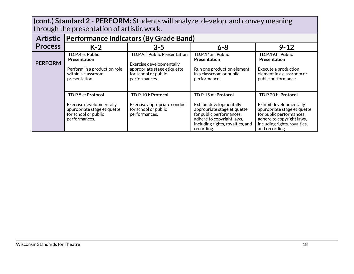**(cont.) Standard 2 - PERFORM:** Students will analyze, develop, and convey meaning through the presentation of artistic work.

| <b>Artistic</b> | <b>Performance Indicators (By Grade Band)</b>                                                                          |                                                                                                                                   |                                                                                                                                                                                          |                                                                                                                                                                                          |
|-----------------|------------------------------------------------------------------------------------------------------------------------|-----------------------------------------------------------------------------------------------------------------------------------|------------------------------------------------------------------------------------------------------------------------------------------------------------------------------------------|------------------------------------------------------------------------------------------------------------------------------------------------------------------------------------------|
| <b>Process</b>  | $K-2$                                                                                                                  | $3 - 5$                                                                                                                           | $6 - 8$                                                                                                                                                                                  | $9 - 12$                                                                                                                                                                                 |
| <b>PERFORM</b>  | TD.P.4.e: Public<br>Presentation<br>Perform in a production role<br>within a classroom<br>presentation.                | TD.P.9.i: Public Presentation<br>Exercise developmentally<br>appropriate stage etiquette<br>for school or public<br>performances. | TD.P.14.m: Public<br><b>Presentation</b><br>Run one production element<br>in a classroom or public<br>performance.                                                                       | TD.P.19.h: Public<br>Presentation<br>Execute a production<br>element in a classroom or<br>public performance.                                                                            |
|                 | TD.P.5.e: Protocol<br>Exercise developmentally<br>appropriate stage etiquette<br>for school or public<br>performances. | TD.P.10.i: Protocol<br>Exercise appropriate conduct<br>for school or public<br>performances.                                      | TD.P.15.m: Protocol<br>Exhibit developmentally<br>appropriate stage etiquette<br>for public performances;<br>adhere to copyright laws,<br>including rights, royalties, and<br>recording. | TD.P.20.h: Protocol<br>Exhibit developmentally<br>appropriate stage etiquette<br>for public performances;<br>adhere to copyright laws,<br>including rights, royalties,<br>and recording. |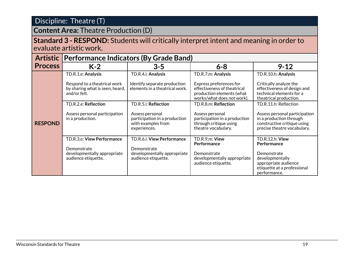## **Content Area:** Theatre Production (D)

#### **Standard 3 - RESPOND:** Students will critically interpret intent and meaning in order to evaluate artistic work.

|                | <b>Artistic Performance Indicators (By Grade Band)</b>                          |                                                                                        |                                                                                                                   |                                                                                                                        |
|----------------|---------------------------------------------------------------------------------|----------------------------------------------------------------------------------------|-------------------------------------------------------------------------------------------------------------------|------------------------------------------------------------------------------------------------------------------------|
| <b>Process</b> | $K-2$                                                                           | $3 - 5$                                                                                | $6 - 8$                                                                                                           | $9 - 12$                                                                                                               |
| <b>RESPOND</b> | TD.R.1.e: Analysis                                                              | TD.R.4.i: Analysis                                                                     | TD.R.7.m: Analysis                                                                                                | TD.R.10.h: Analysis                                                                                                    |
|                | Respond to a theatrical work<br>by sharing what is seen, heard,<br>and/or felt. | Identify separate production<br>elements in a theatrical work.                         | Express preferences for<br>effectiveness of theatrical<br>production elements (what<br>works/what does not work). | Critically analyze the<br>effectiveness of design and<br>technical elements for a<br>theatrical production.            |
|                | TD.R.2.e: Reflection                                                            | TD.R.5.i: Reflection                                                                   | TD.R.8.m: Reflection                                                                                              | TD.R.11.h: Reflection                                                                                                  |
|                | Assess personal participation<br>in a production.                               | Assess personal<br>participation in a production<br>with examples from<br>experiences. | Assess personal<br>participation in a production<br>through critique using<br>theatre vocabulary.                 | Assess personal participation<br>in a production through<br>constructive critique using<br>precise theatre vocabulary. |
|                | TD.R.3.e: View Performance                                                      | TD.R.6.i: View Performance                                                             | TD.R.9.m: View<br><b>Performance</b>                                                                              | TD.R.12.h: View<br><b>Performance</b>                                                                                  |
|                | Demonstrate<br>developmentally appropriate<br>audience etiquette.               | Demonstrate<br>developmentally appropriate<br>audience etiquette.                      | Demonstrate<br>developmentally appropriate<br>audience etiquette.                                                 | Demonstrate<br>developmentally<br>appropriate audience<br>etiquette at a professional<br>performance.                  |